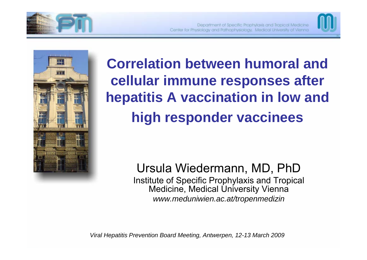





**Correlation between humoral and cellular immune responses after hepatitis A vaccination in low and high responder vaccinees**

> Ursula Wiedermann, MD, PhD Institute of Specific Prophylaxis and Tropical Medicine, Medical University Vienna *www.meduniwien.ac.at/tropenmedizin*

*Viral Hepatitis Prevention Board Meeting, Antwerpen, 12-13 March 2009*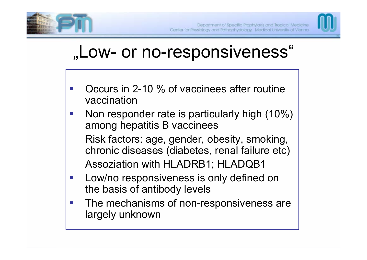



# "Low- or no-responsiveness"

- Occurs in 2-10 % of vaccinees after routine vaccination
- $\mathbb{R}^n$  Non responder rate is particularly high (10%) among hepatitis B vaccinees Risk factors: age, gender, obesity, smoking, chronic diseases (diabetes, renal failure etc) Assoziation with HLADRB1; HLADQB1
- $\mathcal{L}^{\text{max}}$  Low/no responsiveness is only defined on the basis of antibody levels
- $\mathcal{L}_{\mathcal{A}}$  The mechanisms of non-responsiveness are largely unknown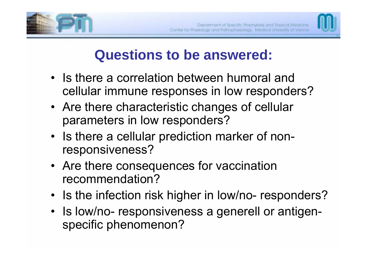



## **Questions to be answered:**

- Is there a correlation between humoral and cellular immune responses in low responders?
- Are there characteristic changes of cellular parameters in low responders?
- Is there a cellular prediction marker of nonresponsiveness?
- Are there consequences for vaccination recommendation?
- •• Is the infection risk higher in low/no- responders?
- Is low/no- responsiveness a generell or antigenspecific phenomenon?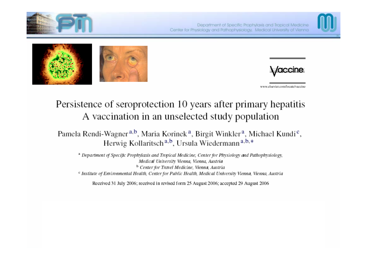



*laccine* 

www.elsevier.com/locate/vaccine

### Persistence of seroprotection 10 years after primary hepatitis A vaccination in an unselected study population

Pamela Rendi-Wagner<sup>a,b</sup>, Maria Korinek<sup>a</sup>, Birgit Winkler<sup>a</sup>, Michael Kundi<sup>c</sup>, Herwig Kollaritsch<sup>a,b</sup>, Ursula Wiedermann<sup>a,b,\*</sup>

<sup>a</sup> Department of Specific Prophylaxis and Tropical Medicine, Center for Physiology and Pathophysiology, Medical University Vienna, Vienna, Austria <sup>b</sup> Center for Travel Medicine, Vienna, Austria <sup>e</sup> Institute of Environmental Health, Center for Public Health, Medical University Vienna, Vienna, Austria

Received 31 July 2006; received in revised form 25 August 2006; accepted 29 August 2006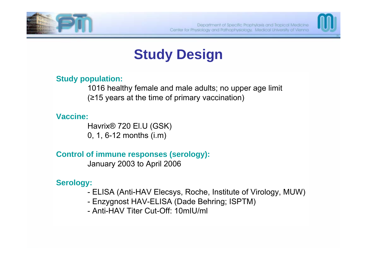



# **Study Design**

#### **Study population:**

1016 healthy female and male adults; no upper age limit (≥15 years at the time of primary vaccination)

#### **Vaccine:**

Havrix® 720 El.U (GSK) 0, 1, 6-12 months (i.m)

**Control of immune responses (serology):**

January 2003 to April 2006

#### **Serology:**

- ELISA (Anti-HAV Elecsys, Roche, Institute of Virology, MUW)
- Enzygnost HAV-ELISA (Dade Behring; ISPTM)
- Anti-HAV Titer Cut-Off: 10mIU/ml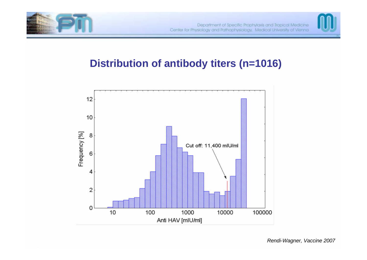



## **Distribution of antibody titers (n=1016)**

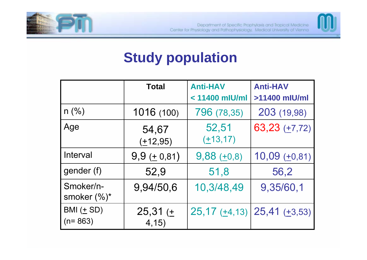



## **Study population**

|                            | <b>Total</b>      | <b>Anti-HAV</b><br>$< 11400$ mlU/ml | <b>Anti-HAV</b><br>>11400 mlU/ml                            |  |  |
|----------------------------|-------------------|-------------------------------------|-------------------------------------------------------------|--|--|
|                            |                   |                                     |                                                             |  |  |
| $n$ (%)                    | 1016 (100)        | 796 (78,35)                         | 203 (19,98)                                                 |  |  |
| Age                        | 54,67<br>(±12,95) | 52,51<br>$(\pm 13, 17)$             | $63,23 (+7,72)$                                             |  |  |
| Interval                   | $9,9(+0,81)$      | $9,88 (+0,8)$                       | $10,09 (+0,81)$                                             |  |  |
| gender (f)                 | 52,9              | 51,8                                | 56,2                                                        |  |  |
| Smoker/n-<br>smoker (%)*   | 9,94/50,6         |                                     | 9,35/60,1                                                   |  |  |
| $BMI(\pm SD)$<br>$(n=863)$ | 25,31(<br>4,15)   |                                     | $25,17 \left(\pm 4,13\right)$ $25,41 \left(\pm 3,53\right)$ |  |  |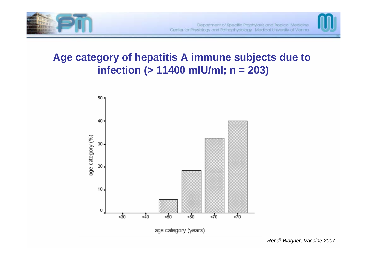



## **Age category of hepatitis A immune subjects due to infection (> 11400 mIU/ml; n = 203)**

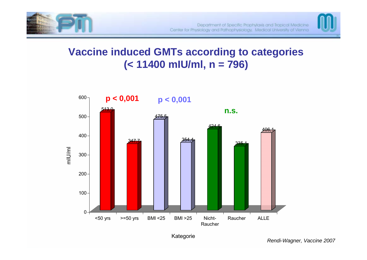



### **Vaccine induced GMTs according to categories (< 11400 mIU/ml, n = 796)**



Kategorie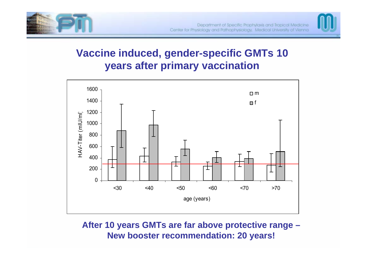



## **Vaccine induced, gender-specific GMTs 10 years after primary vaccination**



#### **After 10 years GMTs are far above protective range – New booster recommendation: 20 years!**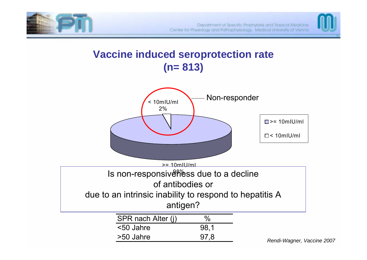



### **Vaccine induced seroprotection rate (n= 813)**



*Rendi-Wagner, Vaccine 2007*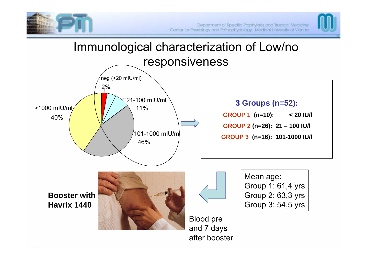



## Immunological characterization of Low/no responsiveness



#### **3 Groups (n=52):**

**GROUP 1 (n=10): < 20 IU/l GROUP 2 (n=26): 21 – 100 IU/l GROUP 3 (n=16): 101-1000 IU/l**

**Booster withHavrix 1440**





Mean age: Group 1: 61,4 yrs Group 2: 63,3 yrs Group 3: 54,5 yrs

Blood pre and 7 days after booster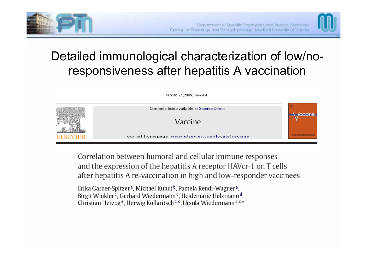



## Detailed immunological characterization of low/noresponsiveness after hepatitis A vaccination



Correlation between humoral and cellular immune responses and the expression of the hepatitis A receptor HAVcr-1 on T cells after hepatitis A re-vaccination in high and low-responder vaccinees

Erika Garner-Spitzer<sup>a</sup>, Michael Kundi<sup>b</sup>, Pamela Rendi-Wagner<sup>a</sup>, Birgit Winkler<sup>a</sup>, Gerhard Wiedermann<sup>c</sup>, Heidemarie Holzmann<sup>d</sup>, Christian Herzog<sup>e</sup>, Herwig Kollaritsch<sup>a, c</sup>, Ursula Wiedermann<sup>a, c,\*</sup>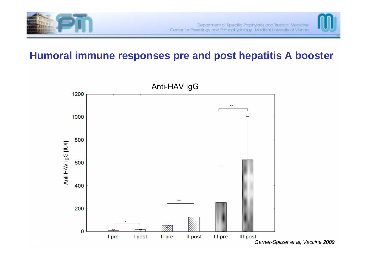



## **Humoral immune responses pre and post hepatitis A booster**



*Garner-Spitzer et al, Vaccine 2009*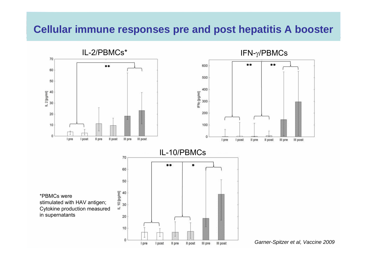### **Cellular immune responses pre and post hepatitis A booster**



*Garner-Spitzer et al, Vaccine 2009*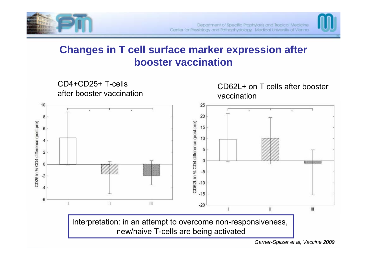



## **Changes in T cell surface marker expression after booster vaccination**



*Garner-Spitzer et al, Vaccine 2009*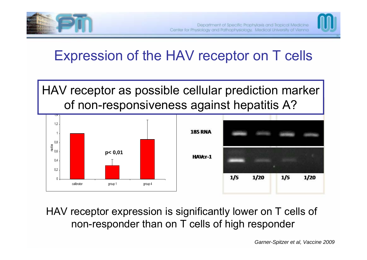



## Expression of the HAV receptor on T cells



HAV receptor expression is significantly lower on T cells of non-responder than on T cells of high responder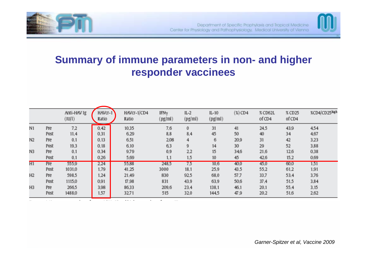



## **Summary of immune parameters in non- and higher responder vaccinees**

|                |      | Anti-HAV Ig<br>(IU/I) | HAVCr-1<br>Ratio | HAVCr-1/CD4<br>Ratio | IFNy<br>(pg/ml) | $IL-2$<br>(pg/ml) | $IL-10$<br>(pg/ml) | $(\%)$ CD4 | % CD62L<br>of CD4 | % CD25<br>of CD4 | %CD4/CD25high |
|----------------|------|-----------------------|------------------|----------------------|-----------------|-------------------|--------------------|------------|-------------------|------------------|---------------|
| N1             | Pre  | 7.2                   | 0.42             | 10,35                | 7,6             | 0                 | 31                 | 41         | 24.5              | 43,9             | 4.54          |
|                | Post | 11,4                  | 0.31             | 6,29                 | 8,8             | 8,4               | 45                 | 50         | 40                | 34               | 4,67          |
| N2             | Pre  | 0,1                   | 0.13             | 6,51                 | 2,08            | 4                 | 6                  | 20,9       | 31                | 42               | 3,23          |
|                | Post | 19.3                  | 0.18             | 6.10                 | 6,3             | 9                 | 14                 | 30         | 29                | 52               | 3,88          |
| N3             | Pre  | 0,1                   | 0.34             | 9,79                 | 0.9             | 2,2               | 15                 | 34,6       | 21,6              | 12,6             | 0.38          |
|                | Post | 0.1                   | 0,26             | 5,69                 | 1,1             | 1,5               | 10                 | 45         | 42,6              | 15,2             | 0,69          |
| H1             | Pre  | 555,9                 | 2.24             | 55,88                | 248,5           | 7.5               | 10,6               | 40,0       | 45,0              | 60,0             | 1.51          |
|                | Post | 1031,0                | 1.79             | 41,25                | 3000            | 18,1              | 25,9               | 43,5       | 55,2              | 61,2             | 1,91          |
| H <sub>2</sub> | Pre  | 598,5                 | 1.24             | 21,49                | 830             | 92,5              | 68,0               | 57,7       | 33,7              | 53,4             | 3,76          |
|                | Post | 1115,0                | 0.91             | 17,98                | 831             | 43,9              | 63.9               | 50,6       | 37.4              | 51,5             | 3,84          |
| H <sub>3</sub> | Pre  | 266,5                 | 3,98             | 86,33                | 209.6           | 23,4              | 138.1              | 46,1       | 20,1              | 55,4             | 3,15          |
|                | Post | 1488,0                | 1.57             | 32,71                | 515             | 32,0              | 144,5              | 47,9       | 20,2              | 51,6             | 2,62          |